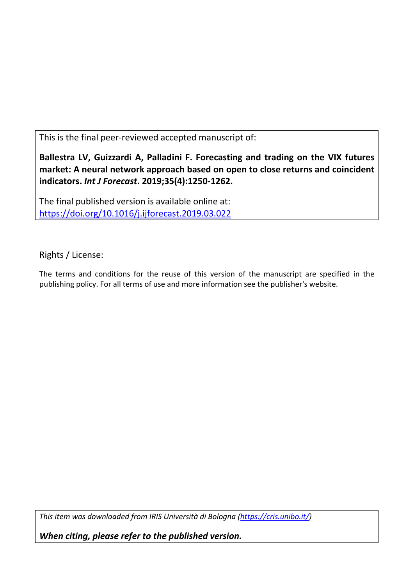This is the final peer-reviewed accepted manuscript of:

**Ballestra LV, Guizzardi A, Palladini F. Forecasting and trading on the VIX futures market: A neural network approach based on open to close returns and coincident indicators.** *Int J Forecast***. 2019;35(4):1250-1262.** 

The final published version is available online at: <https://doi.org/10.1016/j.ijforecast.2019.03.022>

Rights / License:

The terms and conditions for the reuse of this version of the manuscript are specified in the publishing policy. For all terms of use and more information see the publisher's website.

*This item was downloaded from IRIS Università di Bologna [\(https://cris.unibo.it/\)](https://cris.unibo.it/)*

*When citing, please refer to the published version.*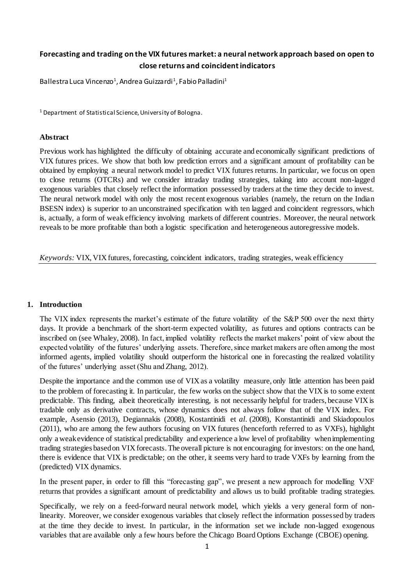# **Forecasting and trading on the VIX futures market: a neural network approach based on open to close returns and coincident indicators**

Ballestra Luca Vincenzo<sup>1</sup>, Andrea Guizzardi<sup>1</sup>, Fabio Palladini<sup>1</sup>

<sup>1</sup> Department of Statistical Science, University of Bologna.

## **Abstract**

Previous work has highlighted the difficulty of obtaining accurate and economically significant predictions of VIX futures prices. We show that both low prediction errors and a significant amount of profitability can be obtained by employing a neural network model to predict VIX futures returns. In particular, we focus on open to close returns (OTCRs) and we consider intraday trading strategies, taking into account non-lagged exogenous variables that closely reflect the information possessed by traders at the time they decide to invest. The neural network model with only the most recent exogenous variables (namely, the return on the Indian BSESN index) is superior to an unconstrained specification with ten lagged and coincident regressors, which is, actually, a form of weak efficiency involving markets of different countries. Moreover, the neural network reveals to be more profitable than both a logistic specification and heterogeneous autoregressive models.

*Keywords:* VIX, VIX futures, forecasting, coincident indicators, trading strategies, weak efficiency

### **1. Introduction**

The VIX index represents the market's estimate of the future volatility of the S&P 500 over the next thirty days. It provide a benchmark of the short-term expected volatility, as futures and options contracts can be inscribed on (see Whaley, 2008). In fact, implied volatility reflects the market makers' point of view about the expected volatility of the futures' underlying assets. Therefore, since market makers are often among the most informed agents, implied volatility should outperform the historical one in forecasting the realized volatility of the futures' underlying asset (Shu and Zhang, 2012).

Despite the importance and the common use of VIX as a volatility measure, only little attention has been paid to the problem of forecasting it. In particular, the few works on the subject show that the VIX is to some extent predictable. This finding, albeit theoretically interesting, is not necessarily helpful for traders, because VIX is tradable only as derivative contracts, whose dynamics does not always follow that of the VIX index. For example, Asensio (2013), Degiannakis (2008), Kostantinidi et *al*. (2008), Konstantinidi and Skiadopoulos (2011), who are among the few authors focusing on VIX futures (henceforth referred to as VXFs), highlight only a weak evidence of statistical predictability and experience a low level of profitability when implementing trading strategies based on VIX forecasts. The overall picture is not encouraging for investors: on the one hand, there is evidence that VIX is predictable; on the other, it seems very hard to trade VXFs by learning from the (predicted) VIX dynamics.

In the present paper, in order to fill this "forecasting gap", we present a new approach for modelling VXF returns that provides a significant amount of predictability and allows us to build profitable trading strategies.

Specifically, we rely on a feed-forward neural network model, which yields a very general form of nonlinearity. Moreover, we consider exogenous variables that closely reflect the information possessed by traders at the time they decide to invest. In particular, in the information set we include non-lagged exogenous variables that are available only a few hours before the Chicago Board Options Exchange (CBOE) opening.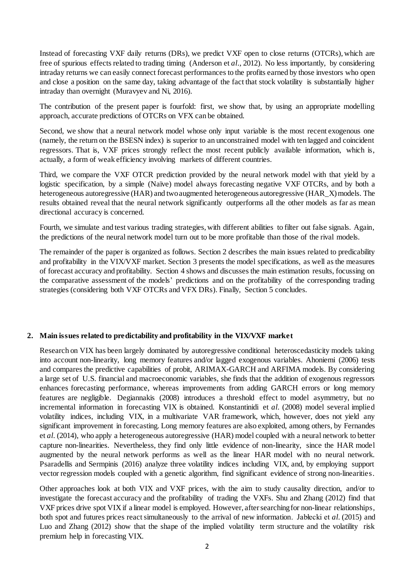Instead of forecasting VXF daily returns (DRs), we predict VXF open to close returns (OTCRs), which are free of spurious effects related to trading timing (Anderson et *al*., 2012). No less importantly, by considering intraday returns we can easily connect forecast performances to the profits earned by those investors who open and close a position on the same day, taking advantage of the fact that stock volatility is substantially higher intraday than overnight (Muravyev and Ni, 2016).

The contribution of the present paper is fourfold: first, we show that, by using an appropriate modelling approach, accurate predictions of OTCRs on VFX can be obtained.

Second, we show that a neural network model whose only input variable is the most recent exogenous one (namely, the return on the BSESN index) is superior to an unconstrained model with ten lagged and coincident regressors. That is, VXF prices strongly reflect the most recent publicly available information, which is, actually, a form of weak efficiency involving markets of different countries.

Third, we compare the VXF OTCR prediction provided by the neural network model with that yield by a logistic specification, by a simple (Naïve) model always forecasting negative VXF OTCRs, and by both a heterogeneous autoregressive (HAR) and two augmented heterogeneous autoregressive (HAR\_X) models. The results obtained reveal that the neural network significantly outperforms all the other models as far as mean directional accuracy is concerned.

Fourth, we simulate and test various trading strategies, with different abilities to filter out false signals. Again, the predictions of the neural network model turn out to be more profitable than those of the rival models.

The remainder of the paper is organized as follows. Section 2 describes the main issues related to predicability and profitability in the VIX/VXF market. Section 3 presents the model specifications, as well as the measures of forecast accuracy and profitability. Section 4 shows and discusses the main estimation results, focussing on the comparative assessment of the models' predictions and on the profitability of the corresponding trading strategies (considering both VXF OTCRs and VFX DRs). Finally, Section 5 concludes.

# **2. Main issues related to predictability and profitability in the VIX/VXF market**

Research on VIX has been largely dominated by autoregressive conditional heteroscedasticity models taking into account non-linearity, long memory features and/or lagged exogenous variables. Ahoniemi (2006) tests and compares the predictive capabilities of probit, ARIMAX-GARCH and ARFIMA models. By considering a large set of U.S. financial and macroeconomic variables, she finds that the addition of exogenous regressors enhances forecasting performance, whereas improvements from adding GARCH errors or long memory features are negligible. Degiannakis (2008) introduces a threshold effect to model asymmetry, but no incremental information in forecasting VIX is obtained. Konstantinidi et *al*. (2008) model several implied volatility indices, including VIX, in a multivariate VAR framework, which, however, does not yield any significant improvement in forecasting. Long memory features are also exploited, among others, by Fernandes et *al*. (2014), who apply a heterogeneous autoregressive (HAR) model coupled with a neural network to better capture non-linearities. Nevertheless, they find only little evidence of non-linearity, since the HAR model augmented by the neural network performs as well as the linear HAR model with no neural network. Psaradellis and Sermpinis (2016) analyze three volatility indices including VIX, and, by employing support vector regression models coupled with a genetic algorithm, find significant evidence of strong non-linearities.

Other approaches look at both VIX and VXF prices, with the aim to study causality direction, and/or to investigate the forecast accuracy and the profitability of trading the VXFs. Shu and Zhang (2012) find that VXF prices drive spot VIX if a linear model is employed. However, after searching for non-linear relationships, both spot and futures prices react simultaneously to the arrival of new information. Jabłecki et *al*. (2015) and Luo and Zhang (2012) show that the shape of the implied volatility term structure and the volatility risk premium help in forecasting VIX.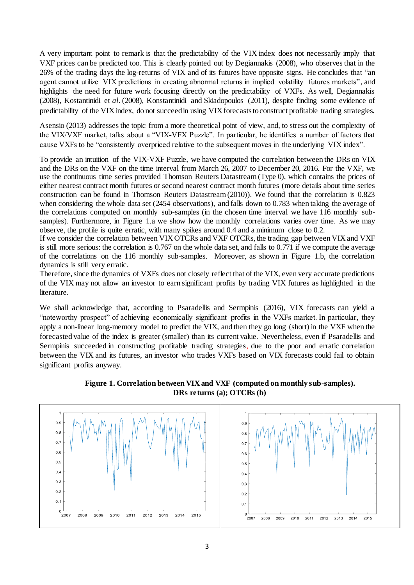A very important point to remark is that the predictability of the VIX index does not necessarily imply that VXF prices can be predicted too. This is clearly pointed out by Degiannakis (2008), who observes that in the 26% of the trading days the log-returns of VIX and of its futures have opposite signs. He concludes that "an agent cannot utilize VIX predictions in creating abnormal returns in implied volatility futures markets", and highlights the need for future work focusing directly on the predictability of VXFs. As well, Degiannakis (2008), Kostantinidi et *al*. (2008), Konstantinidi and Skiadopoulos (2011), despite finding some evidence of predictability of the VIX index, do not succeed in using VIX forecasts to construct profitable trading strategies.

Asensio (2013) addresses the topic from a more theoretical point of view, and, to stress out the complexity of the VIX/VXF market, talks about a "VIX-VFX Puzzle". In particular, he identifies a number of factors that cause VXFs to be "consistently overpriced relative to the subsequent moves in the underlying VIX index".

To provide an intuition of the VIX-VXF Puzzle, we have computed the correlation between the DRs on VIX and the DRs on the VXF on the time interval from March 26, 2007 to December 20, 2016. For the VXF, we use the continuous time series provided Thomson Reuters Datastream (Type 0), which contains the prices of either nearest contract month futures or second nearest contract month futures (more details about time series construction can be found in Thomson Reuters Datastream (2010)). We found that the correlation is 0.823 when considering the whole data set (2454 observations), and falls down to 0.783 when taking the average of the correlations computed on monthly sub-samples (in the chosen time interval we have 116 monthly subsamples). Furthermore, in Figure 1.a we show how the monthly correlations varies over time. As we may observe, the profile is quite erratic, with many spikes around 0.4 and a minimum close to 0.2.

If we consider the correlation between VIX OTCRs and VXF OTCRs, the trading gap between VIX and VXF is still more serious: the correlation is 0.767 on the whole data set, and falls to 0.771 if we compute the average of the correlations on the 116 monthly sub-samples. Moreover, as shown in Figure 1.b, the correlation dynamics is still very erratic.

Therefore, since the dynamics of VXFs does not closely reflect that of the VIX, even very accurate predictions of the VIX may not allow an investor to earn significant profits by trading VIX futures as highlighted in the literature.

We shall acknowledge that, according to Psaradellis and Sermpinis (2016), VIX forecasts can yield a "noteworthy prospect" of achieving economically significant profits in the VXFs market. In particular, they apply a non-linear long-memory model to predict the VIX, and then they go long (short) in the VXF when the forecasted value of the index is greater (smaller) than its current value. Nevertheless, even if Psaradellis and Sermpinis succeeded in constructing profitable trading strategies, due to the poor and erratic correlation between the VIX and its futures, an investor who trades VXFs based on VIX forecasts could fail to obtain significant profits anyway.



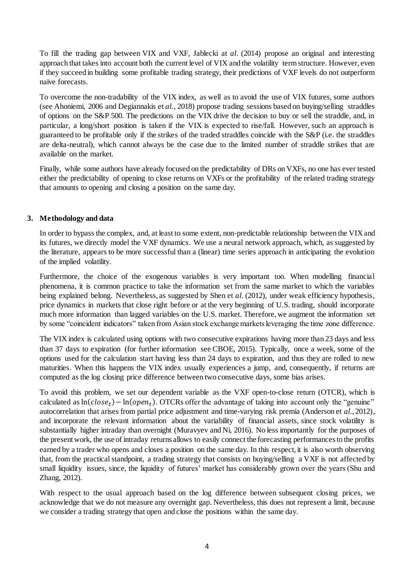To fill the trading gap between VIX and VXF, Jablecki at *al*. (2014) propose an original and interesting approach that takes into account both the current level of VIX and the volatility term structure. However, even if they succeed in building some profitable trading strategy, their predictions of VXF levels do not outperform naïve forecasts.

To overcome the non-tradability of the VIX index, as well as to avoid the use of VIX futures, some authors (see Ahoniemi, 2006 and Degiannakis et *al*., 2018) propose trading sessions based on buying/selling straddles of options on the S&P 500. The predictions on the VIX drive the decision to buy or sell the straddle, and, in particular, a long/short position is taken if the VIX is expected to rise/fall. However, such an approach is guaranteed to be profitable only if the strikes of the traded straddles coincide with the S&P (i.e. the straddles are delta-neutral), which cannot always be the case due to the limited number of straddle strikes that are available on the market.

Finally, while some authors have already focused on the predictability of DRs on VXFs, no one has ever tested either the predictability of opening to close returns on VXFs or the profitability of the related trading strategy that amounts to opening and closing a position on the same day.

# **3. Methodology and data**

In order to bypass the complex, and, at least to some extent, non-predictable relationship between the VIX and its futures, we directly model the VXF dynamics. We use a neural network approach, which, as suggested by the literature, appears to be more successful than a (linear) time series approach in anticipating the evolution of the implied volatility.

Furthermore, the choice of the exogenous variables is very important too. When modelling financial phenomena, it is common practice to take the information set from the same market to which the variables being explained belong. Nevertheless, as suggested by Shen et *al*. (2012), under weak efficiency hypothesis, price dynamics in markets that close right before or at the very beginning of U.S. trading, should incorporate much more information than lagged variables on the U.S. market. Therefore, we augment the information set by some "coincident indicators" taken from Asian stock exchange markets leveraging the time zone difference.

The VIX index is calculated using options with two consecutive expirations having more than 23 days and less than 37 days to expiration (for further information see CBOE, 2015). Typically, once a week, some of the options used for the calculation start having less than 24 days to expiration, and thus they are rolled to new maturities. When this happens the VIX index usually experiences a jump, and, consequently, if returns are computed as the log closing price difference between two consecutive days, some bias arises.

To avoid this problem, we set our dependent variable as the VXF open-to-close return (OTCR), which is calculated as  $ln(close_t) - ln(open_t)$ . OTCRs offer the advantage of taking into account only the "genuine" autocorrelation that arises from partial price adjustment and time-varying risk premia (Anderson et *al*., 2012), and incorporate the relevant information about the variability of financial assets, since stock volatility is substantially higher intraday than overnight (Muravyev and Ni, 2016). No less importantly for the purposes of the present work, the use of intraday returns allows to easily connect the forecasting performances to the profits earned by a trader who opens and closes a position on the same day. In this respect, it is also worth observing that, from the practical standpoint, a trading strategy that consists on buying/selling a VXF is not affected by small liquidity issues, since, the liquidity of futures' market has considerably grown over the years (Shu and Zhang, 2012).

With respect to the usual approach based on the log difference between subsequent closing prices, we acknowledge that we do not measure any overnight gap. Nevertheless, this does not represent a limit, because we consider a trading strategy that open and close the positions within the same day.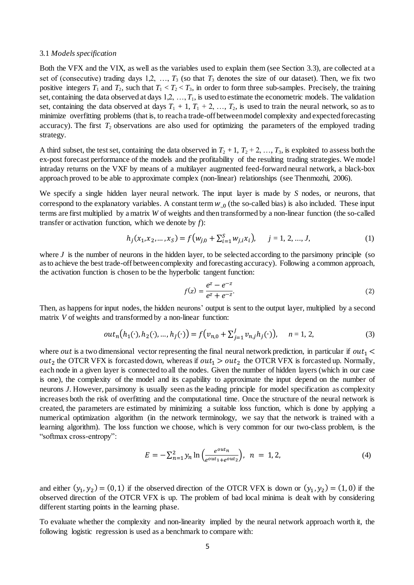#### 3.1 *Models specification*

Both the VFX and the VIX, as well as the variables used to explain them (see Section 3.3), are collected at a set of (consecutive) trading days  $1,2, \ldots, T_3$  (so that  $T_3$  denotes the size of our dataset). Then, we fix two positive integers  $T_1$  and  $T_2$ , such that  $T_1 < T_2 < T_3$ , in order to form three sub-samples. Precisely, the training set, containing the data observed at days  $1,2, \ldots, T_1$ , is used to estimate the econometric models. The validation set, containing the data observed at days  $T_1 + 1$ ,  $T_1 + 2$ , ...,  $T_2$ , is used to train the neural network, so as to minimize overfitting problems (that is, to reach a trade-off between model complexity and expected forecasting accuracy). The first  $T_2$  observations are also used for optimizing the parameters of the employed trading strategy.

A third subset, the test set, containing the data observed in  $T_2 + 1$ ,  $T_2 + 2$ , ...,  $T_3$ , is exploited to assess both the ex-post forecast performance of the models and the profitability of the resulting trading strategies. We model intraday returns on the VXF by means of a multilayer augmented feed-forward neural network, a black-box approach proved to be able to approximate complex (non-linear) relationships (see Thenmozhi, 2006).

We specify a single hidden layer neural network. The input layer is made by *S* nodes, or neurons, that correspond to the explanatory variables. A constant term  $w_{0}$  (the so-called bias) is also included. These input terms are first multiplied by a matrix *W* of weights and then transformed by a non-linear function (the so-called transfer or activation function, which we denote by *f*):

$$
h_j(x_1, x_2, \dots, x_S) = f(w_{j,0} + \sum_{i=1}^S w_{j,i} x_i), \quad j = 1, 2, \dots, J,
$$
 (1)

where  $J$  is the number of neurons in the hidden layer, to be selected according to the parsimony principle (so as to achieve the best trade-off between complexity and forecasting accuracy). Following a common approach, the activation function is chosen to be the hyperbolic tangent function:

$$
f(z) = \frac{e^z - e^{-z}}{e^z + e^{-z}}.
$$
 (2)

Then, as happens for input nodes, the hidden neurons' output is sent to the output layer, multiplied by a second matrix *V* of weights and transformed by a non-linear function:

$$
out_n(h_1(\cdot), h_2(\cdot), ..., h_j(\cdot)) = f(v_{n,0} + \sum_{j=1}^J v_{n,j} h_j(\cdot)), \quad n = 1, 2,
$$
 (3)

where out is a two dimensional vector representing the final neural network prediction, in particular if out<sub>1</sub>  $\lt$ out<sub>2</sub> the OTCR VFX is forcasted down, whereas if  $out_1 > out_2$  the OTCR VFX is forcasted up. Normally, each node in a given layer is connected to all the nodes. Given the number of hidden layers (which in our case is one), the complexity of the model and its capability to approximate the input depend on the number of neurons *J*. However, parsimony is usually seen as the leading principle for model specification as complexity increases both the risk of overfitting and the computational time. Once the structure of the neural network is created, the parameters are estimated by minimizing a suitable loss function, which is done by applying a numerical optimization algorithm (in the network terminology, we say that the network is trained with a learning algorithm). The loss function we choose, which is very common for our two-class problem, is the "softmax cross-entropy":

$$
E = -\sum_{n=1}^{2} y_n \ln \left( \frac{e^{out_n}}{e^{out_1} + e^{out_2}} \right), \quad n = 1, 2,
$$
 (4)

and either  $(y_1, y_2) = (0, 1)$  if the observed direction of the OTCR VFX is down or  $(y_1, y_2) = (1, 0)$  if the observed direction of the OTCR VFX is up. The problem of bad local minima is dealt with by considering different starting points in the learning phase.

To evaluate whether the complexity and non-linearity implied by the neural network approach worth it, the following logistic regression is used as a benchmark to compare with: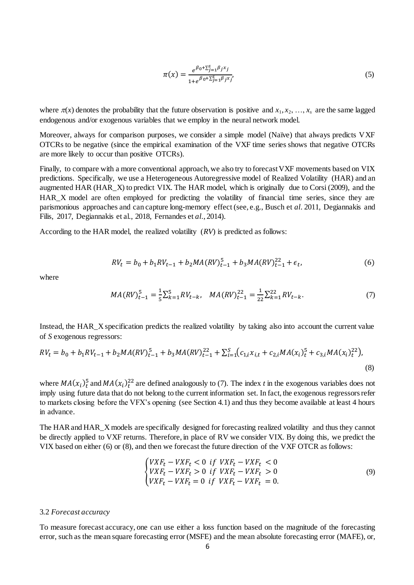$$
\pi(x) = \frac{e^{\beta_0 + \sum_{j=1}^{5} \beta_j x_j}}{1 + e^{\beta_0 + \sum_{j=1}^{5} \beta_j x_j'}}\tag{5}
$$

where  $\pi(x)$  denotes the probability that the future observation is positive and  $x_1, x_2, ..., x_s$  are the same lagged endogenous and/or exogenous variables that we employ in the neural network model.

Moreover, always for comparison purposes, we consider a simple model (Naïve) that always predicts VXF OTCRs to be negative (since the empirical examination of the VXF time series shows that negative OTCRs are more likely to occur than positive OTCRs).

Finally, to compare with a more conventional approach, we also try to forecast VXF movements based on VIX predictions. Specifically, we use a Heterogeneous Autoregressive model of Realized Volatility (HAR) and an augmented HAR (HAR\_X) to predict VIX. The HAR model, which is originally due to Corsi (2009), and the HAR\_X model are often employed for predicting the volatility of financial time series, since they are parismonious approaches and can capture long-memory effect (see, e.g., Busch et *al*. 2011, Degiannakis and Filis, 2017, Degiannakis et al., 2018, Fernandes et *al*., 2014).

According to the HAR model, the realized volatility (*RV*) is predicted as follows:

$$
RV_t = b_0 + b_1 RV_{t-1} + b_2 MA(RV)_{t-1}^5 + b_3 MA(RV)_{t-1}^{22} + \epsilon_t,
$$
\n<sup>(6)</sup>

where

$$
MA(RV)_{t-1}^5 = \frac{1}{5} \sum_{k=1}^5 RV_{t-k}, \quad MA(RV)_{t-1}^{22} = \frac{1}{22} \sum_{k=1}^{22} RV_{t-k}.
$$
 (7)

Instead, the HAR\_X specification predicts the realized volatility by taking also into account the current value of *S* exogenous regressors:

$$
RV_{t} = b_{0} + b_{1}RV_{t-1} + b_{2}MA(RV)_{t-1}^{5} + b_{3}MA(RV)_{t-1}^{22} + \sum_{i=1}^{S} (c_{1,i}x_{i,t} + c_{2,i}MA(x_{i})_{t}^{5} + c_{3,i}MA(x_{i})_{t}^{22}),
$$
\n(8)

where  $MA(x_i)_t^5$  and  $MA(x_i)_t^{22}$  are defined analogously to (7). The index *t* in the exogenous variables does not imply using future data that do not belong to the current information set. In fact, the exogenous regressors refer to markets closing before the VFX's opening (see Section 4.1) and thus they become available at least 4 hours in advance.

The HAR and HAR\_X models are specifically designed for forecasting realized volatility and thus they cannot be directly applied to VXF returns. Therefore, in place of RV we consider VIX. By doing this, we predict the VIX based on either (6) or (8), and then we forecast the future direction of the VXF OTCR as follows:

$$
\begin{cases}\nV X F_t - V X F_t < 0 \text{ if } V X F_t - V X F_t < 0 \\
V X F_t - V X F_t > 0 \text{ if } V X F_t - V X F_t > 0 \\
V X F_t - V X F_t = 0 \text{ if } V X F_t - V X F_t = 0.\n\end{cases} \tag{9}
$$

#### 3.2 *Forecast accuracy*

To measure forecast accuracy, one can use either a loss function based on the magnitude of the forecasting error, such as the mean square forecasting error (MSFE) and the mean absolute forecasting error (MAFE), or,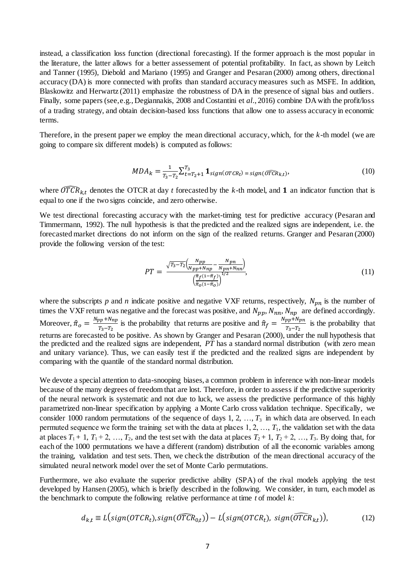instead, a classification loss function (directional forecasting). If the former approach is the most popular in the literature, the latter allows for a better assessement of potential profitability. In fact, as shown by Leitch and Tanner (1995), Diebold and Mariano (1995) and Granger and Pesaran (2000) among others, directional accuracy (DA) is more connected with profits than standard accuracy measures such as MSFE. In addition, Blaskowitz and Herwartz (2011) emphasize the robustness of DA in the presence of signal bias and outliers. Finally, some papers (see, e.g., Degiannakis, 2008 and Costantini et *al*., 2016) combine DA with the profit/loss of a trading strategy, and obtain decision-based loss functions that allow one to assess accuracy in economic terms.

Therefore, in the present paper we employ the mean directional accuracy, which, for the *k*-th model (we are going to compare six different models) is computed as follows:

$$
MDA_k = \frac{1}{T_3 - T_2} \sum_{t=T_2+1}^{T_3} \mathbf{1}_{sign(OTCR_t)} = sign(\widehat{OTCR}_{k,t}),
$$
\n(10)

where  $\widehat{OTCR}_{kt}$  denotes the OTCR at day *t* forecasted by the *k*-th model, and **1** an indicator function that is equal to one if the two signs coincide, and zero otherwise.

We test directional forecasting accuracy with the market-timing test for predictive accuracy (Pesaran and Timmermann, 1992). The null hypothesis is that the predicted and the realized signs are independent, i.e. the forecasted market directions do not inform on the sign of the realized returns. Granger and Pesaran (2000) provide the following version of the test:

$$
PT = \frac{\sqrt{T_3 - T_2} \left( \frac{Npp}{Npp + Nnp} - \frac{Npn}{Npn + Nnn} \right)}{\left( \frac{\hat{\pi}_f (1 - \hat{\pi}_f)}{\hat{\pi}_0 (1 - \hat{\pi}_0)} \right)^{1/2}},
$$
(11)

where the subscripts  $p$  and  $n$  indicate positive and negative VXF returns, respectively,  $N_{pn}$  is the number of times the VXF return was negative and the forecast was positive, and  $N_{pp}$ ,  $N_{nn}$ ,  $N_{np}$  are defined accordingly. Moreover,  $\hat{\pi}_o = \frac{N_{pp} + N_{np}}{T_{eq} - T_{eq}}$  $\frac{3}{T_3-T_2}$  is the probability that returns are positive and  $\hat{\pi}_f = \frac{N_{pp} + N_{pn}}{T_3 - T_2}$  $\frac{p p + p q n}{T_3 - T_2}$  is the probability that returns are forecasted to be positive. As shown by Granger and Pesaran (2000), under the null hypothesis that the predicted and the realized signs are independent, *PT* has a standard normal distribution (with zero mean and unitary variance). Thus, we can easily test if the predicted and the realized signs are independent by comparing with the quantile of the standard normal distribution.

We devote a special attention to data-snooping biases, a common problem in inference with non-linear models because of the many degrees of freedom that are lost. Therefore, in order to assess if the predictive superiority of the neural network is systematic and not due to luck, we assess the predictive performance of this highly parametrized non-linear specification by applying a Monte Carlo cross validation technique. Specifically, we consider 1000 random permutations of the sequence of days  $1, 2, ..., T_3$  in which data are observed. In each permuted sequence we form the training set with the data at places  $1, 2, ..., T_1$ , the validation set with the data at places  $T_1 + 1$ ,  $T_1 + 2$ , ...,  $T_2$ , and the test set with the data at places  $T_2 + 1$ ,  $T_2 + 2$ , ...,  $T_3$ . By doing that, for each of the 1000 permutations we have a different (random) distribution of all the economic variables among the training, validation and test sets. Then, we check the distribution of the mean directional accuracy of the simulated neural network model over the set of Monte Carlo permutations.

Furthermore, we also evaluate the superior predictive ability (SPA) of the rival models applying the test developed by Hansen (2005), which is briefly described in the following. We consider, in turn, each model as the benchmark to compute the following relative performance at time *t* of model *k*:

$$
d_{k,t} \equiv L\big(\text{sign}(OTCR_t), \text{sign}(\widehat{OTCR}_{0,t})\big) - L\big(\text{sign}(OTCR_t), \text{sign}(\widehat{OTCR}_{k,t})\big),\tag{12}
$$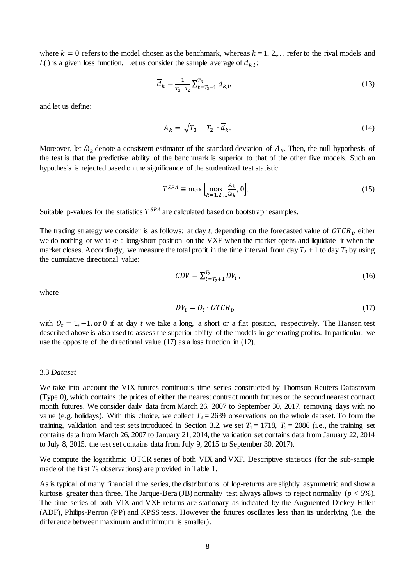where  $k = 0$  refers to the model chosen as the benchmark, whereas  $k = 1, 2, \ldots$  refer to the rival models and  $L(\cdot)$  is a given loss function. Let us consider the sample average of  $d_{k,t}$ :

$$
\overline{d}_k = \frac{1}{T_3 - T_2} \sum_{t = T_2 + 1}^{T_3} d_{k,t},\tag{13}
$$

and let us define:

$$
A_k = \sqrt{T_3 - T_2} \cdot \overline{d}_k. \tag{14}
$$

Moreover, let  $\hat{\omega}_k$  denote a consistent estimator of the standard deviation of  $A_k$ . Then, the null hypothesis of the test is that the predictive ability of the benchmark is superior to that of the other five models. Such an hypothesis is rejected based on the significance of the studentized test statistic

$$
T^{SPA} \equiv \max\left[\max_{k=1,2,\dots,\widehat{\omega}_{k}}, 0\right].\tag{15}
$$

Suitable p-values for the statistics  $T^{SPA}$  are calculated based on bootstrap resamples.

The trading strategy we consider is as follows: at day  $t$ , depending on the forecasted value of  $OTCR<sub>t</sub>$ , either we do nothing or we take a long/short position on the VXF when the market opens and liquidate it when the market closes. Accordingly, we measure the total profit in the time interval from day  $T_2 + 1$  to day  $T_3$  by using the cumulative directional value:

$$
CDV = \sum_{t=T_2+1}^{T_3} DV_t, \tag{16}
$$

where

$$
DV_t = O_t \cdot OTCR_t, \tag{17}
$$

with  $O_t = 1, -1$ , or 0 if at day *t* we take a long, a short or a flat position, respectively. The Hansen test described above is also used to assess the superior ability of the models in generating profits. In particular, we use the opposite of the directional value (17) as a loss function in (12).

#### 3.3 *Dataset*

We take into account the VIX futures continuous time series constructed by Thomson Reuters Datastream (Type 0), which contains the prices of either the nearest contract month futures or the second nearest contract month futures. We consider daily data from March 26, 2007 to September 30, 2017, removing days with no value (e.g. holidays). With this choice, we collect  $T_3 = 2639$  observations on the whole dataset. To form the training, validation and test sets introduced in Section 3.2, we set  $T_1 = 1718$ ,  $T_2 = 2086$  (i.e., the training set contains data from March 26, 2007 to January 21, 2014, the validation set contains data from January 22, 2014 to July 8, 2015, the test set contains data from July 9, 2015 to September 30, 2017).

We compute the logarithmic OTCR series of both VIX and VXF. Descriptive statistics (for the sub-sample made of the first  $T_2$  observations) are provided in Table 1.

As is typical of many financial time series, the distributions of log-returns are slightly asymmetric and show a kurtosis greater than three. The Jarque-Bera (JB) normality test always allows to reject normality (*p* < 5%). The time series of both VIX and VXF returns are stationary as indicated by the Augmented Dickey-Fuller (ADF), Philips-Perron (PP) and KPSS tests. However the futures oscillates less than its underlying (i.e. the difference between maximum and minimum is smaller).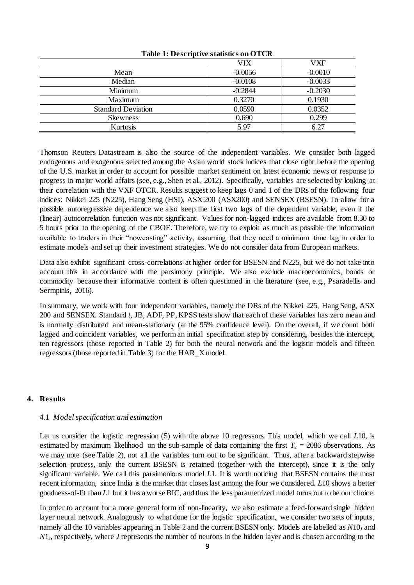|                           | VIX       | VXF       |
|---------------------------|-----------|-----------|
| Mean                      | $-0.0056$ | $-0.0010$ |
| Median                    | $-0.0108$ | $-0.0033$ |
| Minimum                   | $-0.2844$ | $-0.2030$ |
| <b>Maximum</b>            | 0.3270    | 0.1930    |
| <b>Standard Deviation</b> | 0.0590    | 0.0352    |
| <b>Skewness</b>           | 0.690     | 0.299     |
| Kurtosis                  | 5.97      | 6.27      |

**Table 1: Descriptive statistics on OTCR**

Thomson Reuters Datastream is also the source of the independent variables. We consider both lagged endogenous and exogenous selected among the Asian world stock indices that close right before the opening of the U.S. market in order to account for possible market sentiment on latest economic news or response to progress in major world affairs (see, e.g., Shen et al., 2012). Specifically, variables are selected by looking at their correlation with the VXF OTCR. Results suggest to keep lags 0 and 1 of the DRs of the following four indices: Nikkei 225 (N225), Hang Seng (HSI), ASX 200 (ASX200) and SENSEX (BSESN). To allow for a possible autoregressive dependence we also keep the first two lags of the dependent variable, even if the (linear) autocorrelation function was not significant. Values for non-lagged indices are available from 8.30 to 5 hours prior to the opening of the CBOE. Therefore, we try to exploit as much as possible the information available to traders in their "nowcasting" activity, assuming that they need a minimum time lag in order to estimate models and set up their investment strategies. We do not consider data from European markets.

Data also exhibit significant cross-correlations at higher order for BSESN and N225, but we do not take into account this in accordance with the parsimony principle. We also exclude macroeconomics, bonds or commodity because their informative content is often questioned in the literature (see, e.g., Psaradellis and Sermpinis, 2016).

In summary, we work with four independent variables, namely the DRs of the Nikkei 225, Hang Seng, ASX 200 and SENSEX. Standard *t*, JB, ADF, PP, KPSS tests show that each of these variables has zero mean and is normally distributed and mean-stationary (at the 95% confidence level). On the overall, if we count both lagged and coincident variables, we perform an initial specification step by considering, besides the intercept, ten regressors (those reported in Table 2) for both the neural network and the logistic models and fifteen regressors (those reported in Table 3) for the HAR\_X model.

## **4. Results**

## 4.1 *Modelspecification and estimation*

Let us consider the logistic regression (5) with the above 10 regressors. This model, which we call *L*10, is estimated by maximum likelihood on the sub-sample of data containing the first  $T_2 = 2086$  observations. As we may note (see Table 2), not all the variables turn out to be significant. Thus, after a backward stepwise selection process, only the current BSESN is retained (together with the intercept), since it is the only significant variable. We call this parsimonious model *L*1. It is worth noticing that BSESN contains the most recent information, since India is the market that closes last among the four we considered. *L*10 shows a better goodness-of-fit than *L*1 but it has a worse BIC, and thus the less parametrized model turns out to be our choice.

In order to account for a more general form of non-linearity, we also estimate a feed-forward single hidden layer neural network. Analogously to what done for the logistic specification, we consider two sets of inputs, namely all the 10 variables appearing in Table 2 and the current BSESN only. Models are labelled as *N*10*<sup>J</sup>* and *N*1*<sup>J</sup>* , respectively, where *J* represents the number of neurons in the hidden layer and is chosen according to the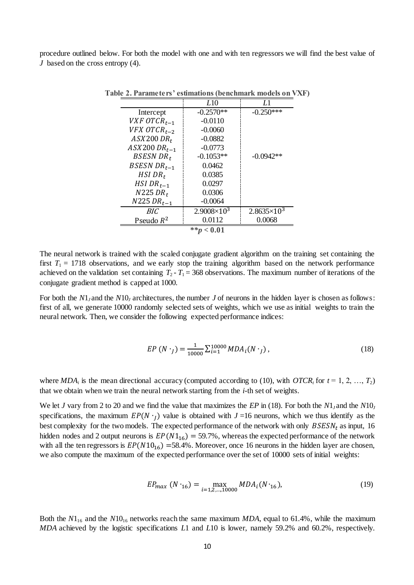procedure outlined below. For both the model with one and with ten regressors we will find the best value of *J* based on the cross entropy (4).

|                         | L <sub>10</sub>      | LI                   |  |  |  |
|-------------------------|----------------------|----------------------|--|--|--|
| Intercept               | $-0.2570**$          | $-0.250***$          |  |  |  |
| VXF OTCR <sub>t-1</sub> | $-0.0110$            |                      |  |  |  |
| VFX OTCR <sub>t-2</sub> | $-0.0060$            |                      |  |  |  |
| $ASX200$ $DR_t$         | $-0.0882$            |                      |  |  |  |
| $ASX200$ $DR_{t-1}$     | $-0.0773$            |                      |  |  |  |
| BSESN DR <sub>t</sub>   | $-0.1053**$          | $-0.0942**$          |  |  |  |
| BSESN DR <sub>t-1</sub> | 0.0462               |                      |  |  |  |
| $HSI$ DR <sub>t</sub>   | 0.0385               |                      |  |  |  |
| HSI DR <sub>t-1</sub>   | 0.0297               |                      |  |  |  |
| $N225 DR_t$             | 0.0306               |                      |  |  |  |
| $N225 DR_{t-1}$         | $-0.0064$            |                      |  |  |  |
| BIC.                    | $2.9008\times10^{3}$ | $2.8635 \times 10^3$ |  |  |  |
| Pseudo $R^2$            | 0.0112               | 0.0068               |  |  |  |
| ** $p < 0.01$           |                      |                      |  |  |  |

**Table 2. Parameters' estimations (benchmark models on VXF)**

The neural network is trained with the scaled conjugate gradient algorithm on the training set containing the first  $T_1 = 1718$  observations, and we early stop the training algorithm based on the network performance achieved on the validation set containing  $T_2 - T_1 = 368$  observations. The maximum number of iterations of the conjugate gradient method is capped at 1000.

For both the  $N1_J$  and the  $N10_J$  architectures, the number *J* of neurons in the hidden layer is chosen as follows: first of all, we generate 10000 randomly selected sets of weights, which we use as initial weights to train the neural network. Then, we consider the following expected performance indices:

$$
EP(N \cdot_J) = \frac{1}{10000} \sum_{i=1}^{10000} MDA_i(N \cdot_J), \qquad (18)
$$

where  $MDA_i$  is the mean directional accuracy (computed according to (10), with  $OTCR_i$  for  $t = 1, 2, ..., T_2$ ) that we obtain when we train the neural network starting from the *i*-th set of weights.

We let *J* vary from 2 to 20 and we find the value that maximizes the *EP* in (18). For both the *N*1*J* and the *N*10*<sup>J</sup>* specifications, the maximum  $EP(N \cdot_j)$  value is obtained with  $J=16$  neurons, which we thus identify as the best complexity for the two models. The expected performance of the network with only  $BSESN<sub>t</sub>$  as input, 16 hidden nodes and 2 output neurons is  $EP(N1_{16}) = 59.7\%$ , whereas the expected performance of the network with all the ten regressors is  $EP(N10_{16}) = 58.4\%$ . Moreover, once 16 neurons in the hidden layer are chosen, we also compute the maximum of the expected performance over the set of 10000 sets of initial weights:

$$
EP_{max} (N \cdot_{16}) = \max_{i=1,2,\dots,10000} MDA_i (N \cdot_{16}),
$$
 (19)

Both the  $N1_{16}$  and the  $N10_{16}$  networks reach the same maximum *MDA*, equal to 61.4%, while the maximum *MDA* achieved by the logistic specifications *L*1 and *L*10 is lower, namely 59.2% and 60.2%, respectively.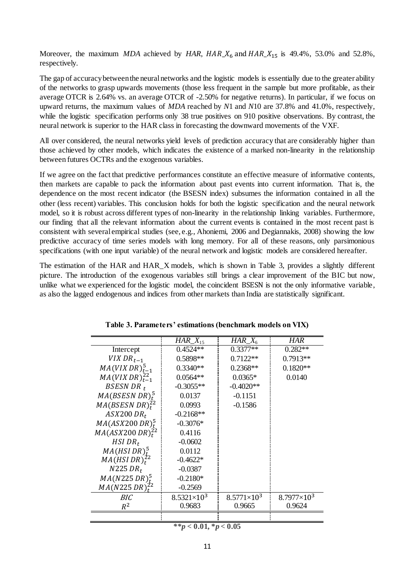Moreover, the maximum *MDA* achieved by *HAR*,  $HAR_\text{A}X_6$  and  $HAR_\text{A}X_{15}$  is 49.4%, 53.0% and 52.8%, respectively.

The gap of accuracy between the neural networks and the logistic models is essentially due to the greater ability of the networks to grasp upwards movements (those less frequent in the sample but more profitable, as their average OTCR is 2.64% vs. an average OTCR of -2.50% for negative returns). In particular, if we focus on upward returns, the maximum values of *MDA* reached by *N*1 and *N*10 are 37.8% and 41.0%, respectively, while the logistic specification performs only 38 true positives on 910 positive observations. By contrast, the neural network is superior to the HAR class in forecasting the downward movements of the VXF.

All over considered, the neural networks yield levels of prediction accuracy that are considerably higher than those achieved by other models, which indicates the existence of a marked non-linearity in the relationship between futures OCTRs and the exogenous variables.

If we agree on the fact that predictive performances constitute an effective measure of informative contents, then markets are capable to pack the information about past events into current information. That is, the dependence on the most recent indicator (the BSESN index) subsumes the information contained in all the other (less recent) variables. This conclusion holds for both the logistic specification and the neural network model, so it is robust across different types of non-linearity in the relationship linking variables. Furthermore, our finding that all the relevant information about the current events is contained in the most recent past is consistent with several empirical studies (see, e.g., Ahoniemi, 2006 and Degiannakis, 2008) showing the low predictive accuracy of time series models with long memory. For all of these reasons, only parsimonious specifications (with one input variable) of the neural network and logistic models are considered hereafter.

The estimation of the HAR and HAR\_X models, which is shown in Table 3, provides a slightly different picture. The introduction of the exogenous variables still brings a clear improvement of the BIC but now, unlike what we experienced for the logistic model, the coincident BSESN is not the only informative variable, as also the lagged endogenous and indices from other markets than India are statistically significant.

|                                         | $HAR\_X_{15}$        | $HAR_\_\mathcal{A}$  | <b>HAR</b>           |
|-----------------------------------------|----------------------|----------------------|----------------------|
| Intercept                               | $0.4524**$           | $0.3377**$           | $0.282**$            |
| VIX DR <sub>t-1</sub>                   | 0.5898**             | $0.7122**$           | $0.7913**$           |
| $MA(VIXDR)^{5}_{t-1}$                   | $0.3340**$           | $0.2368**$           | $0.1820**$           |
| $MA(VIXDR)^{22}_{t-1}$                  | $0.0564**$           | $0.0365*$            | 0.0140               |
| BSESN DR $t$                            | $-0.3055**$          | $-0.4020**$          |                      |
| $MA(BSESN DR)t$ <sup>5</sup>            | 0.0137               | $-0.1151$            |                      |
| MA(BSESN DR) <sub>t</sub> <sup>22</sup> | 0.0993               | $-0.1586$            |                      |
| $ASX200$ $DR_t$                         | $-0.2168**$          |                      |                      |
| $MA(ASX200\,DR)^5_t$                    | $-0.3076*$           |                      |                      |
| $MA(ASX200\,DR)^{22}_t$                 | 0.4116               |                      |                      |
| $HSI$ DR <sub>t</sub>                   | $-0.0602$            |                      |                      |
| MA(HSIDR) <sub>t</sub> <sup>5</sup>     | 0.0112               |                      |                      |
| MA(HSIDR) <sub>t</sub> <sup>22</sup>    | $-0.4622*$           |                      |                      |
| $N225 DR_t$                             | $-0.0387$            |                      |                      |
| $MA(N225 DR)t^{5}$                      | $-0.2180*$           |                      |                      |
| MA(N225 DR) <sub>t</sub> <sup>22</sup>  | $-0.2569$            |                      |                      |
| BIC                                     | $8.5321\times10^{3}$ | $8.5771\times10^{3}$ | $8.7977\times10^{3}$ |
| $R^2$                                   | 0.9683               | 0.9665               | 0.9624               |
|                                         |                      |                      |                      |

**Table 3. Parameters' estimations (benchmark models on VIX)**

# *\*\*p <* **0.01, \****p* **< 0.05**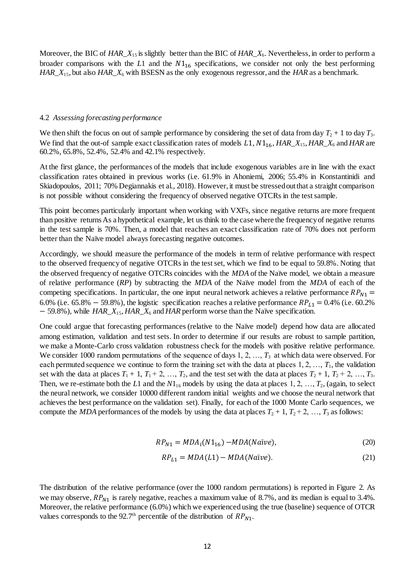Moreover, the BIC of *HAR\_X*<sub>15</sub> is slightly better than the BIC of *HAR\_X*<sub>6</sub>. Nevertheless, in order to perform a broader comparisons with the  $L1$  and the  $N1_{16}$  specifications, we consider not only the best performing *HAR\_X*15, but also *HAR\_X*<sup>6</sup> with BSESN as the only exogenous regressor, and the *HAR* as a benchmark.

#### 4.2 *Assessing forecasting performance*

We then shift the focus on out of sample performance by considering the set of data from day  $T_2 + 1$  to day  $T_3$ . We find that the out-of sample exact classification rates of models  $L1$ ,  $N1_{16}$ ,  $HAR\_X_{15}$ ,  $HAR\_X_6$  and  $HAR$  are 60.2%, 65.8%, 52.4%, 52.4% and 42.1% respectively.

At the first glance, the performances of the models that include exogenous variables are in line with the exact classification rates obtained in previous works (i.e. 61.9% in Ahoniemi, 2006; 55.4% in Konstantinidi and Skiadopoulos, 2011; 70% Degiannakis et al., 2018). However, it must be stressed out that a straight comparison is not possible without considering the frequency of observed negative OTCRs in the test sample.

This point becomes particularly important when working with VXFs, since negative returns are more frequent than positive returns As a hypothetical example, let us think to the case where the frequency of negative returns in the test sample is 70%. Then, a model that reaches an exact classification rate of 70% does not perform better than the Naïve model always forecasting negative outcomes.

Accordingly, we should measure the performance of the models in term of relative performance with respect to the observed frequency of negative OTCRs in the test set, which we find to be equal to 59.8%. Noting that the observed frequency of negative OTCRs coincides with the *MDA* of the Naïve model, we obtain a measure of relative performance (*RP*) by subtracting the *MDA* of the Naïve model from the *MDA* of each of the competing specifications. In particular, the one input neural network achieves a relative performance  $RP_{N1}$  = 6.0% (i.e. 65.8% – 59.8%), the logistic specification reaches a relative performance  $RP_{L1} = 0.4\%$  (i.e. 60.2%) − 59.8%), while *HAR\_X*<sub>15</sub>, *HAR\_X*<sub>6</sub> and *HAR* perform worse than the Naïve specification.

One could argue that forecasting performances (relative to the Naïve model) depend how data are allocated among estimation, validation and test sets. In order to determine if our results are robust to sample partition, we make a Monte-Carlo cross validation robustness check for the models with positive relative performance. We consider 1000 random permutations of the sequence of days 1, 2, …,  $T_3$  at which data were observed. For each permuted sequence we continue to form the training set with the data at places  $1, 2, ..., T_1$ , the validation set with the data at places  $T_1 + 1$ ,  $T_1 + 2$ , …,  $T_2$ , and the test set with the data at places  $T_2 + 1$ ,  $T_2 + 2$ , …,  $T_3$ . Then, we re-estimate both the *L*1 and the  $N1_{16}$  models by using the data at places 1, 2, …,  $T_2$ , (again, to select the neural network, we consider 10000 different random initial weights and we choose the neural network that achieves the best performance on the validation set). Finally, for each of the 1000 Monte Carlo sequences, we compute the *MDA* performances of the models by using the data at places  $T_2 + 1$ ,  $T_2 + 2$ , …,  $T_3$  as follows:

$$
RP_{N1} = MDAi(N116) - MDA(Naïve),
$$
\n(20)

$$
RP_{L1} = MDA(L1) - MDA(Naïve). \tag{21}
$$

The distribution of the relative performance (over the 1000 random permutations) is reported in Figure 2*.* As we may observe,  $RP_{N1}$  is rarely negative, reaches a maximum value of 8.7%, and its median is equal to 3.4%. Moreover, the relative performance (6.0%) which we experienced using the true (baseline) sequence of OTCR values corresponds to the 92.7<sup>th</sup> percentile of the distribution of  $RP_{N1}$ .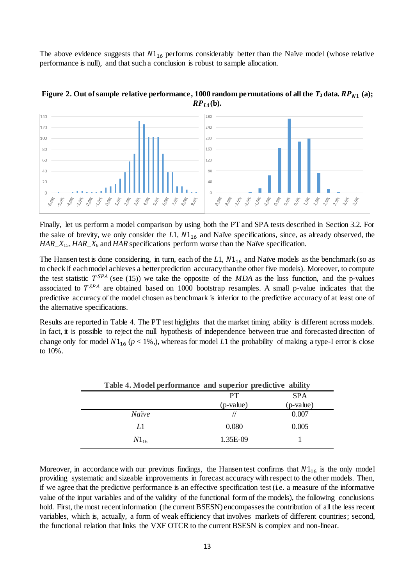The above evidence suggests that  $N1_{16}$  performs considerably better than the Naïve model (whose relative performance is null), and that such a conclusion is robust to sample allocation.



**Figure 2. Out of sample relative performance, 1000 random permutations of all the**  $T_3$  **data.**  $RP_{N1}$  **(a);**  $RP_{L1}$ (b).

Finally, let us perform a model comparison by using both the PT and SPA tests described in Section 3.2. For the sake of brevity, we only consider the  $L1$ ,  $N1<sub>16</sub>$  and Naïve specifications, since, as already observed, the *HAR\_X*<sub>15</sub>, *HAR\_X*<sub>6</sub> and *HAR* specifications perform worse than the Naïve specification.

The Hansen test is done considering, in turn, each of the  $L1$ ,  $N1<sub>16</sub>$  and Naïve models as the benchmark (so as to check if each model achieves a better prediction accuracy than the other five models). Moreover, to compute the test statistic  $T^{SPA}$  (see (15)) we take the opposite of the *MDA* as the loss function, and the p-values associated to  $T^{SPA}$  are obtained based on 1000 bootstrap resamples. A small p-value indicates that the predictive accuracy of the model chosen as benchmark is inferior to the predictive accuracy of at least one of the alternative specifications.

Results are reported in Table 4. The PT test higlights that the market timing ability is different across models. In fact, it is possible to reject the null hypothesis of independence between true and forecasted direction of change only for model  $N1_{16}$  ( $p < 1\%$ ), whereas for model *L*1 the probability of making a type-I error is close to 10%.

|           | Table 4. Model performance and superior predictive ability |            |  |  |
|-----------|------------------------------------------------------------|------------|--|--|
|           | <b>PT</b>                                                  | <b>SPA</b> |  |  |
|           | (p-value)                                                  | (p-value)  |  |  |
| Naïve     |                                                            | 0.007      |  |  |
| Ll        | 0.080                                                      | 0.005      |  |  |
| $N1_{16}$ | 1.35E-09                                                   |            |  |  |

Moreover, in accordance with our previous findings, the Hansen test confirms that  $N1_{16}$  is the only model providing systematic and sizeable improvements in forecast accuracy with respect to the other models. Then, if we agree that the predictive performance is an effective specification test (i.e. a measure of the informative value of the input variables and of the validity of the functional form of the models), the following conclusions hold. First, the most recent information (the current BSESN) encompasses the contribution of all the less recent variables, which is, actually, a form of weak efficiency that involves markets of different countries; second, the functional relation that links the VXF OTCR to the current BSESN is complex and non-linear.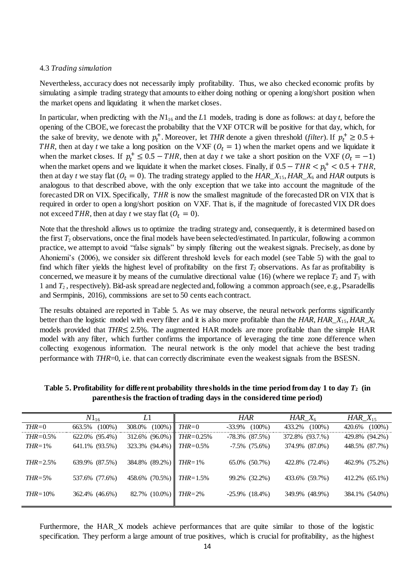## 4.3 *Trading simulation*

Nevertheless, accuracy does not necessarily imply profitability. Thus, we also checked economic profits by simulating a simple trading strategy that amounts to either doing nothing or opening a long/short position when the market opens and liquidating it when the market closes.

In particular, when predicting with the  $N1_{16}$  and the *L*1 models, trading is done as follows: at day *t*, before the opening of the CBOE, we forecast the probability that the VXF OTCR will be positive for that day, which, for the sake of brevity, we denote with  $p_t^+$ . Moreover, let THR denote a given threshold (*filter*). If  $p_t^+ \ge 0.5$  + THR, then at day *t* we take a long position on the VXF ( $O_t = 1$ ) when the market opens and we liquidate it when the market closes. If  $p_t^+ \leq 0.5 - THR$ , then at day *t* we take a short position on the VXF ( $O_t = -1$ ) when the market opens and we liquidate it when the market closes. Finally, if  $0.5 - THR < p_t^+ < 0.5 + THR$ , then at day *t* we stay flat ( $O_t = 0$ ). The trading strategy applied to the  $HAR\_X_1$ 5,  $HAR\_X_6$  and  $HAR$  outputs is analogous to that described above, with the only exception that we take into account the magnitude of the forecasted DR on VIX. Specifically, THR is now the smallest magnitude of the forecasted DR on VIX that is required in order to open a long/short position on VXF. That is, if the magnitude of forecasted VIX DR does not exceed THR, then at day *t* we stay flat  $(Q_t = 0)$ .

Note that the threshold allows us to optimize the trading strategy and, consequently, it is determined based on the first  $T_2$  observations, once the final models have been selected/estimated. In particular, following a common practice, we attempt to avoid "false signals" by simply filtering out the weakest signals. Precisely, as done by Ahoniemi's (2006), we consider six different threshold levels for each model (see Table 5) with the goal to find which filter yields the highest level of profitability on the first  $T_2$  observations. As far as profitability is concerned, we measure it by means of the cumulative directional value (16) (where we replace  $T_2$  and  $T_3$  with 1 and *T*<sup>2</sup> , respectively). Bid-ask spread are neglected and, following a common approach (see, e.g., Psaradellis and Sermpinis, 2016), commissions are set to 50 cents each contract.

The results obtained are reported in Table 5. As we may observe, the neural network performs significantly better than the logistic model with every filter and it is also more profitable than the *HAR*, *HAR\_X*15, *HAR\_X*<sup>6</sup> models provided that *THR*≤ 2.5%*.* The augmented HAR models are more profitable than the simple HAR model with any filter, which further confirms the importance of leveraging the time zone difference when collecting exogenous information. The neural network is the only model that achieve the best trading performance with *THR*=0, i.e. that can correctly discriminate even the weakest signals from the BSESN.

|               | $N1_{16}$           | Ll                          |                        | <b>HAR</b>           | HAR $X_6$           | $HAR\_X_{15}$       |
|---------------|---------------------|-----------------------------|------------------------|----------------------|---------------------|---------------------|
| $THR = 0$     | $(100\%)$<br>663.5% | 308.0%                      | $(100\%)$ <i>THR=0</i> | $-33.9\%$ $(100\%)$  | 433.2%<br>$(100\%)$ | $(100\%)$<br>420.6% |
| $THR = 0.5\%$ | 622.0% (95.4%)      | $312.6\%$ (96.0%) THR=0.25% |                        | $-78.3\%$ $(87.5\%)$ | 372.8% (93.7.%)     | 429.8% (94.2%)      |
| $THR = 1\%$   | 641.1% (93.5%)      | 323.3% $(94.4\%)$ THR=0.5%  |                        | $-7.5\%$ $(75.6\%)$  | 374.9% (87.0%)      | 448.5% (87.7%)      |
| $THR = 2.5\%$ | 639.9% (87.5%)      | 384.8% (89.2%) THR=1%       |                        | 65.0% (50.7%)        | 422.8% (72.4%)      | 462.9% (75.2%)      |
| $THR = 5\%$   | 537.6% (77.6%)      | 458.6% $(70.5\%)$ THR=1.5%  |                        | 99.2% (32.2%)        | 433.6% (59.7%)      | 412.2% (65.1%)      |
| $THR = 10\%$  | 362.4% (46.6%)      | 82.7% $(10.0\%)$ THR=2%     |                        | $-25.9\%$ $(18.4\%)$ | 349.9% (48.9%)      | 384.1% (54.0%)      |

**Table 5. Profitability for different probability thresholds in the time period from day 1 to day** *T***<sup>2</sup> (in parenthesis the fraction of trading days in the considered time period)**

Furthermore, the HAR\_X models achieve performances that are quite similar to those of the logistic specification. They perform a large amount of true positives, which is crucial for profitability, as the highest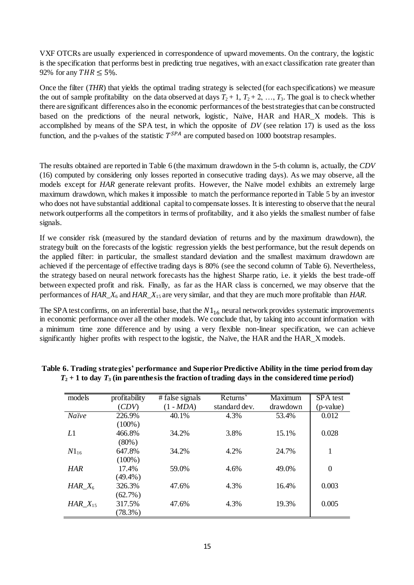VXF OTCRs are usually experienced in correspondence of upward movements. On the contrary, the logistic is the specification that performs best in predicting true negatives, with an exact classification rate greater than 92% for any  $THR \leq 5\%$ .

Once the filter (*THR*) that yields the optimal trading strategy is selected (for each specifications) we measure the out of sample profitability on the data observed at days  $T_2 + 1$ ,  $T_2 + 2$ , …,  $T_3$ . The goal is to check whether there are significant differences also in the economic performances of the best strategies that can be constructed based on the predictions of the neural network, logistic, Naïve, HAR and HAR\_X models. This is accomplished by means of the SPA test, in which the opposite of *DV* (see relation 17) is used as the loss function, and the p-values of the statistic  $T^{SPA}$  are computed based on 1000 bootstrap resamples.

The results obtained are reported in Table 6 (the maximum drawdown in the 5-th column is, actually, the *CDV* (16) computed by considering only losses reported in consecutive trading days). As we may observe, all the models except for *HAR* generate relevant profits. However, the Naïve model exhibits an extremely large maximum drawdown, which makes it impossible to match the performance reported in Table 5 by an investor who does not have substantial additional capital to compensate losses. It is interesting to observe that the neural network outperforms all the competitors in terms of profitability, and it also yields the smallest number of false signals.

If we consider risk (measured by the standard deviation of returns and by the maximum drawdown), the strategy built on the forecasts of the logistic regression yields the best performance, but the result depends on the applied filter: in particular, the smallest standard deviation and the smallest maximum drawdown are achieved if the percentage of effective trading days is 80% (see the second column of Table 6). Nevertheless, the strategy based on neural network forecasts has the highest Sharpe ratio, i.e. it yields the best trade-off between expected profit and risk. Finally, as far as the HAR class is concerned, we may observe that the performances of *HAR\_X*<sub>6</sub> and *HAR\_X*<sub>15</sub> are very similar, and that they are much more profitable than *HAR*.

The SPA test confirms, on an inferential base, that the  $N1_{16}$  neural network provides systematic improvements in economic performance over all the other models. We conclude that, by taking into account information with a minimum time zone difference and by using a very flexible non-linear specification, we can achieve significantly higher profits with respect to the logistic, the Naïve, the HAR and the HAR\_X models.

| models        | profitability | # false signals | Returns'      | Maximum  | SPA test  |
|---------------|---------------|-----------------|---------------|----------|-----------|
|               | (CDV)         | $(1 - MDA)$     | standard dev. | drawdown | (p-value) |
| Naïve         | 226.9%        | 40.1%           | 4.3%          | 53.4%    | 0.012     |
|               | $(100\%)$     |                 |               |          |           |
| L1            | 466.8%        | 34.2%           | 3.8%          | 15.1%    | 0.028     |
|               | $(80\%)$      |                 |               |          |           |
| $N1_{16}$     | 647.8%        | 34.2%           | 4.2%          | 24.7%    | 1         |
|               | $(100\%)$     |                 |               |          |           |
| HAR           | 17.4%         | 59.0%           | 4.6%          | 49.0%    | $\theta$  |
|               | $(49.4\%)$    |                 |               |          |           |
| $HAR\_X_6$    | 326.3%        | 47.6%           | 4.3%          | 16.4%    | 0.003     |
|               | $(62.7\%)$    |                 |               |          |           |
| $HAR\_X_{15}$ | 317.5%        | 47.6%           | 4.3%          | 19.3%    | 0.005     |
|               | $(78.3\%)$    |                 |               |          |           |

## **Table 6. Trading strategies' performance and Superior Predictive Ability in the time period from day**   $T_2 + 1$  to day  $T_3$  (in parenthesis the fraction of trading days in the considered time period)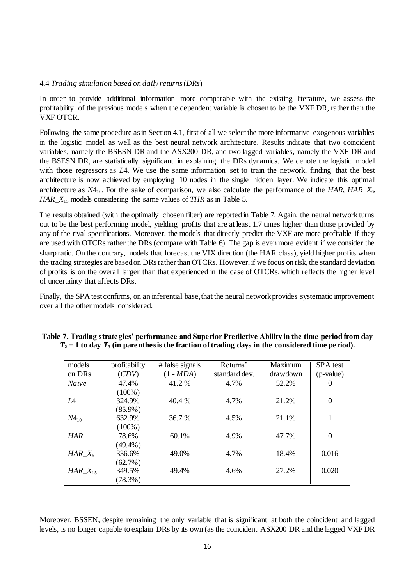### 4.4 *Trading simulation based on daily returns*(*DRs*)

In order to provide additional information more comparable with the existing literature, we assess the profitability of the previous models when the dependent variable is chosen to be the VXF DR, rather than the VXF OTCR.

Following the same procedure as in Section 4.1, first of all we select the more informative exogenous variables in the logistic model as well as the best neural network architecture. Results indicate that two coincident variables, namely the BSESN DR and the ASX200 DR, and two lagged variables, namely the VXF DR and the BSESN DR, are statistically significant in explaining the DRs dynamics. We denote the logistic model with those regressors as *L*4. We use the same information set to train the network, finding that the best architecture is now achieved by employing 10 nodes in the single hidden layer. We indicate this optimal architecture as  $N4_{10}$ . For the sake of comparison, we also calculate the performance of the *HAR*, *HAR\_X*<sub>6</sub>, *HAR\_X*<sup>15</sup> models considering the same values of *THR* as in Table 5.

The results obtained (with the optimally chosen filter) are reported in Table 7. Again, the neural network turns out to be the best performing model, yielding profits that are at least 1.7 times higher than those provided by any of the rival specifications. Moreover, the models that directly predict the VXF are more profitable if they are used with OTCRs rather the DRs (compare with Table 6). The gap is even more evident if we consider the sharp ratio. On the contrary, models that forecast the VIX direction (the HAR class), yield higher profits when the trading strategies are based on DRs rather than OTCRs. However, if we focus on risk, the standard deviation of profits is on the overall larger than that experienced in the case of OTCRs, which reflects the higher level of uncertainty that affects DRs.

Finally, the SPA test confirms, on an inferential base, that the neural network provides systematic improvement over all the other models considered.

| models             | profitability | # false signals | Returns'      | Maximum  | SPA test       |
|--------------------|---------------|-----------------|---------------|----------|----------------|
| on DR <sub>s</sub> | (CDV)         | $(1 - MDA)$     | standard dev. | drawdown | (p-value)      |
| <b>Naïve</b>       | 47.4%         | 41.2 %          | 4.7%          | 52.2%    | $\theta$       |
|                    | $(100\%)$     |                 |               |          |                |
| LA                 | 324.9%        | 40.4 %          | 4.7%          | 21.2%    | $\theta$       |
|                    | $(85.9\%)$    |                 |               |          |                |
| $N4_{10}$          | 632.9%        | 36.7 %          | 4.5%          | 21.1%    | 1              |
|                    | $(100\%)$     |                 |               |          |                |
| <b>HAR</b>         | 78.6%         | 60.1%           | 4.9%          | 47.7%    | $\overline{0}$ |
|                    | $(49.4\%)$    |                 |               |          |                |
| HAR $X_6$          | 336.6%        | 49.0%           | 4.7%          | 18.4%    | 0.016          |
|                    | $(62.7\%)$    |                 |               |          |                |
| HAR $X_{15}$       | 349.5%        | 49.4%           | 4.6%          | 27.2%    | 0.020          |
|                    | $(78.3\%)$    |                 |               |          |                |

| Table 7. Trading strategies' performance and Superior Predictive Ability in the time period from day |  |
|------------------------------------------------------------------------------------------------------|--|
| $T_2 + 1$ to day $T_3$ (in parenthesis the fraction of trading days in the considered time period).  |  |

Moreover, BSSEN, despite remaining the only variable that is significant at both the coincident and lagged levels, is no longer capable to explain DRs by its own (as the coincident ASX200 DR and the lagged VXF DR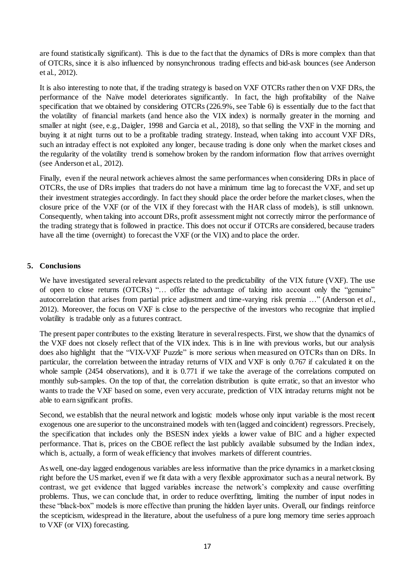are found statistically significant). This is due to the fact that the dynamics of DRs is more complex than that of OTCRs, since it is also influenced by nonsynchronous trading effects and bid-ask bounces (see Anderson et al., 2012).

It is also interesting to note that, if the trading strategy is based on VXF OTCRs rather then on VXF DRs, the performance of the Naïve model deteriorates significantly. In fact, the high profitability of the Naïve specification that we obtained by considering OTCRs (226.9%, see Table 6) is essentially due to the fact that the volatility of financial markets (and hence also the VIX index) is normally greater in the morning and smaller at night (see, e.g., Daigler, 1998 and Garcia et al., 2018), so that selling the VXF in the morning and buying it at night turns out to be a profitable trading strategy. Instead, when taking into account VXF DRs, such an intraday effect is not exploited any longer, because trading is done only when the market closes and the regularity of the volatility trend is somehow broken by the random information flow that arrives overnight (see Anderson et al., 2012).

Finally, even if the neural network achieves almost the same performances when considering DRs in place of OTCRs, the use of DRs implies that traders do not have a minimum time lag to forecast the VXF, and set up their investment strategies accordingly. In fact they should place the order before the market closes, when the closure price of the VXF (or of the VIX if they forecast with the HAR class of models), is still unknown. Consequently, when taking into account DRs, profit assessment might not correctly mirror the performance of the trading strategy that is followed in practice. This does not occur if OTCRs are considered, because traders have all the time (overnight) to forecast the VXF (or the VIX) and to place the order.

# **5. Conclusions**

We have investigated several relevant aspects related to the predictability of the VIX future (VXF). The use of open to close returns (OTCRs) "… offer the advantage of taking into account only the "genuine" autocorrelation that arises from partial price adjustment and time-varying risk premia …" (Anderson et *al*., 2012). Moreover, the focus on VXF is close to the perspective of the investors who recognize that implied volatility is tradable only as a futures contract.

The present paper contributes to the existing literature in several respects. First, we show that the dynamics of the VXF does not closely reflect that of the VIX index. This is in line with previous works, but our analysis does also highlight that the "VIX-VXF Puzzle" is more serious when measured on OTCRs than on DRs. In particular, the correlation between the intraday returns of VIX and VXF is only 0.767 if calculated it on the whole sample (2454 observations), and it is 0.771 if we take the average of the correlations computed on monthly sub-samples. On the top of that, the correlation distribution is quite erratic, so that an investor who wants to trade the VXF based on some, even very accurate, prediction of VIX intraday returns might not be able to earn significant profits.

Second, we establish that the neural network and logistic models whose only input variable is the most recent exogenous one are superior to the unconstrained models with ten (lagged and coincident) regressors. Precisely, the specification that includes only the BSESN index yields a lower value of BIC and a higher expected performance. That is, prices on the CBOE reflect the last publicly available subsumed by the Indian index, which is, actually, a form of weak efficiency that involves markets of different countries.

As well, one-day lagged endogenous variables are less informative than the price dynamics in a market closing right before the US market, even if we fit data with a very flexible approximator such as a neural network. By contrast, we get evidence that lagged variables increase the network's complexity and cause overfitting problems. Thus, we can conclude that, in order to reduce overfitting, limiting the number of input nodes in these "black-box" models is more effective than pruning the hidden layer units. Overall, our findings reinforce the scepticism, widespread in the literature, about the usefulness of a pure long memory time series approach to VXF (or VIX) forecasting.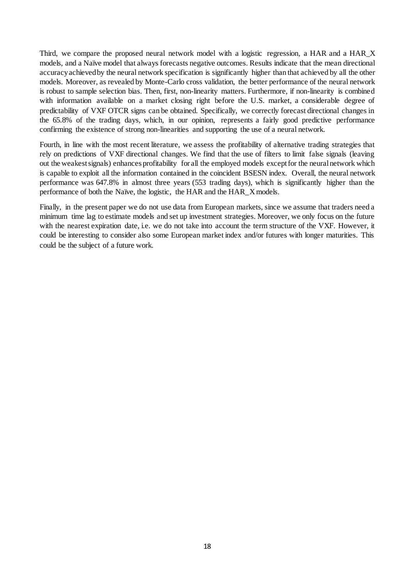Third, we compare the proposed neural network model with a logistic regression, a HAR and a HAR\_X models, and a Naïve model that always forecasts negative outcomes. Results indicate that the mean directional accuracy achieved by the neural network specification is significantly higher than that achieved by all the other models. Moreover, as revealed by Monte-Carlo cross validation, the better performance of the neural network is robust to sample selection bias. Then, first, non-linearity matters. Furthermore, if non-linearity is combined with information available on a market closing right before the U.S. market, a considerable degree of predictability of VXF OTCR signs can be obtained. Specifically, we correctly forecast directional changes in the 65.8% of the trading days, which, in our opinion, represents a fairly good predictive performance confirming the existence of strong non-linearities and supporting the use of a neural network.

Fourth, in line with the most recent literature, we assess the profitability of alternative trading strategies that rely on predictions of VXF directional changes. We find that the use of filters to limit false signals (leaving out the weakest signals) enhances profitability for all the employed models except for the neural network which is capable to exploit all the information contained in the coincident BSESN index. Overall, the neural network performance was 647.8% in almost three years (553 trading days), which is significantly higher than the performance of both the Naïve, the logistic, the HAR and the HAR\_X models.

Finally, in the present paper we do not use data from European markets, since we assume that traders need a minimum time lag to estimate models and set up investment strategies. Moreover, we only focus on the future with the nearest expiration date, i.e. we do not take into account the term structure of the VXF. However, it could be interesting to consider also some European market index and/or futures with longer maturities. This could be the subject of a future work.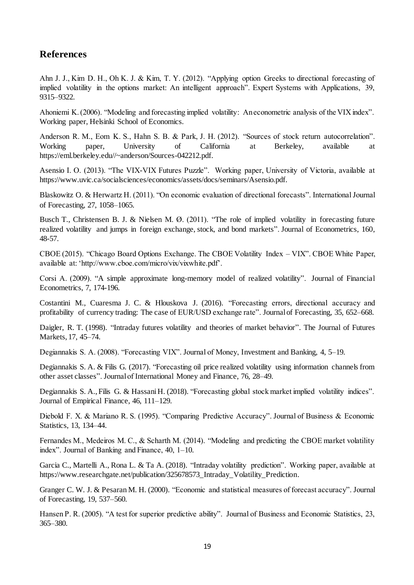# **References**

Ahn J. J., Kim D. H., Oh K. J. & Kim, T. Y. (2012). "Applying option Greeks to directional forecasting of implied volatility in the options market: An intelligent approach". Expert Systems with Applications, 39, 9315–9322.

Ahoniemi K. (2006). "Modeling and forecasting implied volatility: An econometric analysis of the VIX index". Working paper, Helsinki School of Economics.

Anderson R. M., Eom K. S., Hahn S. B. & Park, J. H. (2012). "Sources of stock return autocorrelation". Working paper, University of California at Berkeley, available at https://eml.berkeley.edu//~anderson/Sources-042212.pdf.

Asensio I. O. (2013). "The VIX-VIX Futures Puzzle". Working paper, University of Victoria, available at https://www.uvic.ca/socialsciences/economics/assets/docs/seminars/Asensio.pdf.

Blaskowitz O. & Herwartz H. (2011). "On economic evaluation of directional forecasts". International Journal of Forecasting, 27, 1058–1065.

Busch T., Christensen B. J. & Nielsen M. Ø. (2011). "The role of implied volatility in forecasting future realized volatility and jumps in foreign exchange, stock, and bond markets". Journal of Econometrics, 160, 48-57.

CBOE (2015). "Chicago Board Options Exchange. The CBOE Volatility Index – VIX". CBOE White Paper, available at: 'http://www.cboe.com/micro/vix/vixwhite.pdf'.

Corsi A. (2009). "A simple approximate long-memory model of realized volatility". Journal of Financial Econometrics, 7, 174-196.

Costantini M., Cuaresma J. C. & Hlouskova J. (2016). "Forecasting errors, directional accuracy and profitability of currency trading: The case of EUR/USD exchange rate". Journal of Forecasting, 35, 652–668.

Daigler, R. T. (1998). "Intraday futures volatility and theories of market behavior". The Journal of Futures Markets, 17, 45–74.

Degiannakis S. A. (2008). "Forecasting VIX". Journal of Money, Investment and Banking, 4, 5–19.

Degiannakis S. A. & Filis G. (2017). "Forecasting oil price realized volatility using information channels from other asset classes". Journal of International Money and Finance, 76, 28–49.

Degiannakis S. A., Filis G. & Hassani H. (2018). "Forecasting global stock market implied volatility indices". Journal of Empirical Finance, 46, 111–129.

Diebold F. X. & Mariano R. S. (1995). "Comparing Predictive Accuracy". Journal of Business & Economic Statistics, 13, 134–44.

Fernandes M., Medeiros M. C., & Scharth M. (2014). "Modeling and predicting the CBOE market volatility index". Journal of Banking and Finance, 40, 1–10.

Garcia C., Martelli A., Rona L. & Ta A. (2018). "Intraday volatility prediction". Working paper, available at https://www.researchgate.net/publication/325678573\_Intraday\_Volatility\_Prediction.

Granger C. W. J. & Pesaran M. H. (2000). "Economic and statistical measures of forecast accuracy". Journal of Forecasting, 19, 537–560.

Hansen P. R. (2005). "A test for superior predictive ability". Journal of Business and Economic Statistics, 23, 365–380.